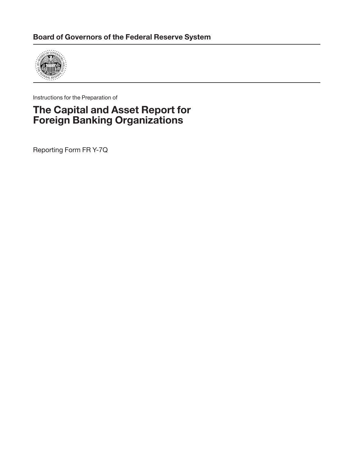

Instructions for the Preparation of

# **The Capital and Asset Report for Foreign Banking Organizations**

Reporting Form FR Y-7Q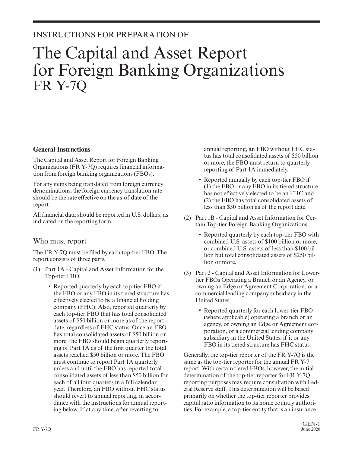# INSTRUCTIONS FOR PREPARATION OF

# The Capital and Asset Report for Foreign Banking Organizations FR Y-7Q

#### **General Instructions**

The Capital and Asset Report for Foreign Banking Organizations (FR Y-7Q) requires financial information from foreign banking organizations (FBOs).

For any items being translated from foreign currency denominations, the foreign currency translation rate should be the rate effective on the as-of date of the report.

<span id="page-2-0"></span>All financial data should be reported in U.S. dollars, as indicated on the reporting form.

### Who must report

The FR Y-7Q must be filed by each top-tier FBO. The report consists of three parts.

- (1) Part 1A Capital and Asset Information for the Top-tier FBO.
	- Reported quarterly by each top-tier FBO if the FBO or any FBO in its tiered structure has effectively elected to be a financial holding company (FHC). Also, reported quarterly by each top-tier FBO that has total consolidated assets of \$50 billion or more as of the report date, regardless of FHC status. Once an FBO has total consolidated assets of \$50 billion or more, the FBO should begin quarterly reporting of Part 1A as of the first quarter the total assets reached \$50 billion or more. The FBO must continue to report Part 1A quarterly unless and until the FBO has reported total consolidated assets of less than \$50 billion for each of all four quarters in a full calendar year. Therefore, an FBO without FHC status should revert to annual reporting, in accor dance with the instructions for annual reporting below. If at any time, after reverting to

annual reporting, an FBO without FHC status has total consolidated assets of \$50 billion or more, the FBO must return to quarterly reporting of Part 1A immediately.

- Reported annually by each top-tier FBO if (1) the FBO or any FBO in its tiered structure has not effectively elected to be an FHC and (2) the FBO has total consolidated assets of less than \$50 billion as of the report date.
- (2) Part 1B Capital and Asset Information for Certain Top-tier Foreign Banking Organizations.
	- Reported quarterly by each top-tier FBO with combined U.S. assets of \$100 billion or more, or combined U.S. assets of less than \$100 billion but total consolidated assets of \$250 billion or more.
- (3) Part 2 Capital and Asset Information for Lowertier FBOs Operating a Branch or an Agency, or owning an Edge or Agreement Corporation, or a commercial lending company subsidiary in the United States.
	- Reported quarterly for each lower-tier FBO (where applicable) operating a branch or an agency, or owning an Edge or Agreement cor poration, or a commercial lending company subsidiary in the United States, if it or any FBO in its tiered structure has FHC status.

Generally, the top-tier reporter of the FR Y-7Q is the same as the top-tier reporter for the annual FR Y-7 report. With certain tiered FBOs, however, the initial determination of the top-tier reporter for FR Y-7Q reporting purposes may require consultation with Federal Reserve staff. This determination will be based primarily on whether the top-tier reporter provides capital ratio information to its home country authorities. For example, a top-tier entity that is an insurance

GEN-1<br>June 2020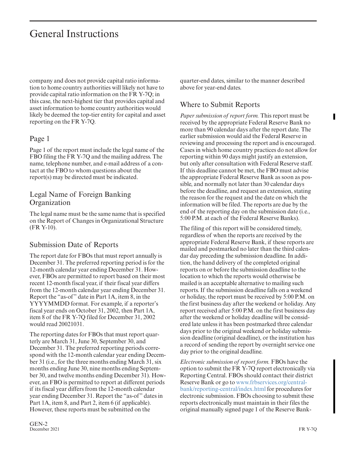company and does not provide capital ratio information to home country authorities will likely not have to provide capital ratio information on the FR Y-7Q; in this case, the next-highest tier that provides capital and asset information to home country authorities would likely be deemed the top-tier entity for capital and asset reporting on the FR Y-7Q.

### Page 1

Page 1 of the report must include the legal name of the FBO filing the FR Y-7Q and the mailing address. The name, telephone number, and e-mail address of a contact at the FBO to whom questions about the report(s) may be directed must be indicated.

### Legal Name of Foreign Banking **Organization**

<span id="page-3-0"></span>The legal name must be the same name that is specified on the Report of Changes in Organizational Structure (FR Y-10).

### Submission Date of Reports

The report date for FBOs that must report annually is December 31. The preferred reporting period is for the 12-month calendar year ending December 31. However, FBOs are permitted to report based on their most recent 12-month fiscal year, if their fiscal year differs from the 12-month calendar year ending December 31. Report the "as-of" date in Part 1A, item 8, in the YYYYMMDD format. For example, if a reporter's fiscal year ends on October 31, 2002, then Part 1A, item 8 of the FR Y-7Q filed for December 31, 2002 would read 20021031.

The reporting dates for FBOs that must report quarterly are March 31, June 30, September 30, and December 31. The preferred reporting periods correspond with the 12-month calendar year ending December 31 (i.e., for the three months ending March 31, six months ending June 30, nine months ending September 30, and twelve months ending December 31). However, an FBO is permitted to report at different periods if its fiscal year differs from the 12-month calendar year ending December 31. Report the "as-of" dates in Part 1A, item 8, and Part 2, item 6 (if applicable). However, these reports must be submitted on the

quarter-end dates, similar to the manner described above for year-end dates.

## Where to Submit Reports

*Paper submission of report form.* This report must be received by the appropriate Federal Reserve Bank no more than 90 calendar days after the report date. The earlier submission would aid the Federal Reserve in reviewing and processing the report and is encouraged. Cases in which home country practices do not allow for reporting within 90 days might justify an extension, but only after consultation with Federal Reserve staff. If this deadline cannot be met, the FBO must advise the appropriate Federal Reserve Bank as soon as possible, and normally not later than 30 calendar days before the deadline, and request an extension, stating the reason for the request and the date on which the information will be filed. The reports are due by the end of the reporting day on the submission date (i.e., 5:00 P.M. at each of the Federal Reserve Banks).

The filing of this report will be considered timely, regardless of when the reports are received by the appropriate Federal Reserve Bank, if these reports are mailed and postmarked no later than the third calendar day preceding the submission deadline. In addition, the hand delivery of the completed original reports on or before the submission deadline to the location to which the reports would otherwise be mailed is an acceptable alternative to mailing such reports. If the submission deadline falls on a weekend or holiday, the report must be received by 5:00 P.M. on the first business day after the weekend or holiday. Any report received after 5:00 P.M. on the first business day after the weekend or holiday deadline will be considered late unless it has been postmarked three calendar days prior to the original weekend or holiday submission deadline (original deadline), or the institution has a record of sending the report by overnight service one day prior to the original deadline.

*Electronic submission of report form.* FBOs have the option to submit the FR Y-7Q report electronically via Reporting Central. FBOs should contact their district Reserve Bank or go to [www.frbservices.org/central](https://www.frbservices.org/central-bank/reporting-central/index.html)[bank/reporting-central/index.html](https://www.frbservices.org/central-bank/reporting-central/index.html) for procedures for electronic submission. FBOs choosing to submit these reports electronically must maintain in their files the original manually signed page 1 of the Reserve Bank-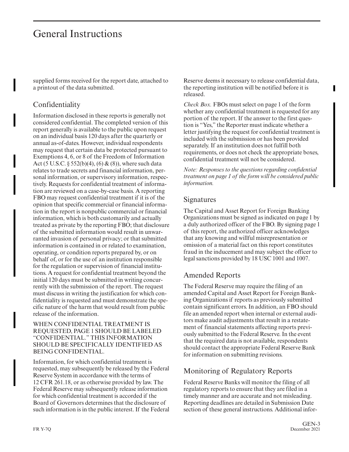supplied forms received for the report date, attached to a printout of the data submitted.

# Confidentiality

Information disclosed in these reports is generally not considered confidential. The completed version of this report generally is available to the public upon request on an individual basis 120 days after the quarterly or annual as-of-dates. However, individual respondents may request that certain data be protected pursuant to Exemptions 4, 6, or 8 of the Freedom of Information Act (5 U.S.C.  $\S 552(b)(4)$ , (6) & (8)), where such data relates to trade secrets and financial information, per sonal information, or supervisory information, respectively. Requests for confidential treatment of information are reviewed on a case-by-case basis. A reporting FBO may request confidential treatment if it is of the opinion that specific commercial or financial information in the report is nonpublic commercial or financial information, which is both customarily and actually treated as private by the reporting FBO; that disclosure of the submitted information would result in unwar ranted invasion of personal privacy; or that submitted information is contained in or related to examination, operating, or condition reports prepared by, or on behalf of, or for the use of an institution responsible for the regulation or supervision of financial institutions. A request for confidential treatment beyond the initial 120 days must be submitted in writing concur rently with the submission of the report. The request must discuss in writing the justification for which confidentiality is requested and must demonstrate the specific nature of the harm that would result from public release of the information.

#### WHEN CONFIDENTIAL TREATMENT IS REQUESTED, PAGE 1 SHOULD BE LABELED "CONFIDENTIAL." THIS INFORMATION SHOULD BE SPECIFICALLY IDENTIFIED AS BEING CONFIDENTIAL.

Information, for which confidential treatment is requested, may subsequently be released by the Federal Reserve System in accordance with the terms of 12 CFR 261.18, or as otherwise provided by law. The Federal Reserve may subsequently release information for which confidential treatment is accorded if the Board of Governors determines that the disclosure of such information is in the public interest. If the Federal Reserve deems it necessary to release confidential data, the reporting institution will be notified before it is released.

*Check Box.* FBOs must select on page 1 of the form whether any confidential treatment is requested for any portion of the report. If the answer to the first question is "Yes," the Reporter must indicate whether a letter justifying the request for confidential treatment is included with the submission or has been provided separately. If an institution does not fulfill both requirements, or does not check the appropriate boxes, confidential treatment will not be considered.

*Note: Responses to the questions regarding confidential treatment on page 1 of the form will be considered public information.*

### **Signatures**

The Capital and Asset Report for Foreign Banking Organizations must be signed as indicated on page 1 by a duly authorized officer of the FBO. By signing page 1 of this report, the authorized officer acknowledges that any knowing and willful misrepresentation or omission of a material fact on this report constitutes fraud in the inducement and may subject the officer to legal sanctions provided by 18 USC 1001 and 1007.

# Amended Reports

The Federal Reserve may require the filing of an amended Capital and Asset Report for Foreign Banking Organizations if reports as previously submitted contain significant errors. In addition, an FBO should file an amended report when internal or external auditors make audit adjustments that result in a restatement of financial statements affecting reports previously submitted to the Federal Reserve. In the event that the required data is not available, respondents should contact the appropriate Federal Reserve Bank for information on submitting revisions.

# Monitoring of Regulatory Reports

Federal Reserve Banks will monitor the filing of all regulatory reports to ensure that they are filed in a timely manner and are accurate and not misleading. Reporting deadlines are detailed in Submission Date section of these general instructions. Additional infor-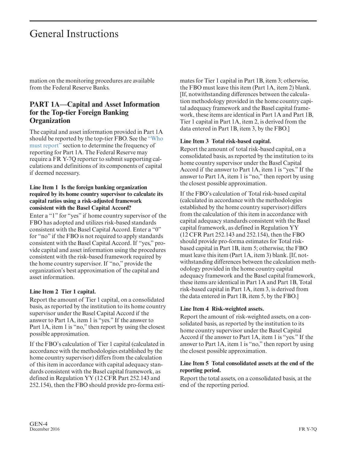mation on the monitoring procedures are available from the Federal Reserve Banks.

### **PART 1A—Capital and Asset Information for the Top-tier Foreign Banking Organization**

The capital and asset information provided in Part 1A should be reported by the top-tier FBO. See the ["Who](#page-2-0) [must report"](#page-2-0) section to determine the frequency of reporting for Part 1A. The Federal Reserve may require a FR Y-7Q reporter to submit supporting calculations and definitions of its components of capital if deemed necessary.

#### **Line Item 1 Is the foreign banking organization required by its home country supervisor to calculate its capital ratios using a risk-adjusted framework consistent with the Basel Capital Accord?**

Enter a "1" for "yes" if home country supervisor of the FBO has adopted and utilizes risk-based standards consistent with the Basel Capital Accord. Enter a "0" for "no" if the FBO is not required to apply standards consistent with the Basel Capital Accord. If "yes," provide capital and asset information using the procedures consistent with the risk-based framework required by the home country supervisor. If "no," provide the organization's best approximation of the capital and asset information.

#### **Line Item 2 Tier 1 capital.**

Report the amount of Tier 1 capital, on a consolidated basis, as reported by the institution to its home country supervisor under the Basel Capital Accord if the answer to Part 1A, item 1 is "yes." If the answer to Part 1A, item 1 is "no," then report by using the closest possible approximation.

If the FBO's calculation of Tier 1 capital (calculated in accordance with the methodologies established by the home country supervisor) differs from the calculation of this item in accordance with capital adequacy standards consistent with the Basel capital framework, as defined in Regulation YY (12 CFR Part 252.143 and 252.154), then the FBO should provide pro-forma estimates for Tier 1 capital in Part 1B, item 3; otherwise, the FBO must leave this item (Part 1A, item 2) blank. [If, notwithstanding differences between the calculation methodology provided in the home country capital adequacy framework and the Basel capital framework, these items are identical in Part 1A and Part 1B, Tier 1 capital in Part 1A, item 2, is derived from the data entered in Part 1B, item 3, by the FBO.]

#### **Line Item 3 Total risk-based capital.**

Report the amount of total risk-based capital, on a consolidated basis, as reported by the institution to its home country supervisor under the Basel Capital Accord if the answer to Part 1A, item 1 is "yes." If the answer to Part 1A, item 1 is "no," then report by using the closest possible approximation.

If the FBO's calculation of Total risk-based capital (calculated in accordance with the methodologies established by the home country supervisor) differs from the calculation of this item in accordance with capital adequacy standards consistent with the Basel capital framework, as defined in Regulation YY (12 CFR Part 252.143 and 252.154), then the FBO should provide pro-forma estimates for Total riskbased capital in Part 1B, item 5; otherwise, the FBO must leave this item (Part 1A, item 3) blank. [If, notwithstanding differences between the calculation methodology provided in the home country capital adequacy framework and the Basel capital framework, these items are identical in Part 1A and Part 1B, Total risk-based capital in Part 1A, item 3, is derived from the data entered in Part 1B, item 5, by the FBO.]

#### **Line Item 4 Risk-weighted assets.**

Report the amount of risk-weighted assets, on a consolidated basis, as reported by the institution to its home country supervisor under the Basel Capital Accord if the answer to Part 1A, item 1 is "yes." If the answer to Part 1A, item 1 is "no," then report by using the closest possible approximation.

#### **Line Item 5 Total consolidated assets at the end of the reporting period.**

Report the total assets, on a consolidated basis, at the end of the reporting period.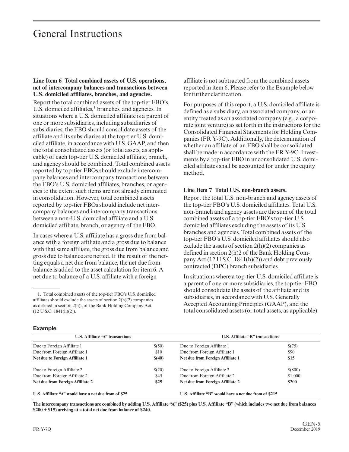#### **Line Item 6 Total combined assets of U.S. operations, net of intercompany balances and transactions between U.S. domiciled affiliates, branches, and agencies.**

Report the total combined assets of the top-tier FBO's  $U.S.$  domiciled affiliates, $<sup>1</sup>$  branches, and agencies. In</sup> situations where a U.S. domiciled affiliate is a parent of one or more subsidiaries, including subsidiaries of subsidiaries, the FBO should consolidate assets of the affiliate and its subsidiaries at the top-tier U.S. domiciled affiliate, in accordance with U.S. GAAP, and then the total consolidated assets (or total assets, as applicable) of each top-tier U.S. domiciled affiliate, branch, and agency should be combined. Total combined assets reported by top-tier FBOs should exclude intercompany balances and intercompany transactions between the FBO's U.S. domiciled affiliates, branches, or agencies to the extent such items are not already eliminated in consolidation. However, total combined assets reported by top-tier FBOs should include net inter company balances and intercompany transactions between a non-U.S. domiciled affiliate and a U.S. domiciled affiliate, branch, or agency of the FBO.

In cases where a U.S. affiliate has a gross due from balance with a foreign affiliate and a gross due to balance with that same affiliate, the gross due from balance and gross due to balance are netted. If the result of the netting equals a net due from balance, the net due from balance is added to the asset calculation for item 6. A net due to balance of a U.S. affiliate with a foreign

affiliate is not subtracted from the combined assets reported in item 6. Please refer to the Example below for further clarification.

For purposes of this report, a U.S. domiciled affiliate is defined as a subsidiary, an associated company, or an entity treated as an associated company (e.g., a corporate joint venture) as set forth in the instructions for the Consolidated Financial Statements for Holding Companies (FR Y-9C). Additionally, the determination of whether an affiliate of an FBO shall be consolidated shall be made in accordance with the FR Y-9C. Investments by a top-tier FBO in unconsolidated U.S. domiciled affiliates shall be accounted for under the equity method.

#### **Line Item 7 Total U.S. non-branch assets.**

Report the total U.S. non-branch and agency assets of the top-tier FBO's U.S. domiciled affiliates. Total U.S. non-branch and agency assets are the sum of the total combined assets of a top-tier FBO's top-tier U.S. domiciled affiliates excluding the assets of its U.S branches and agencies. Total combined assets of the top-tier FBO's U.S. domiciled affiliates should also exclude the assets of section 2(h)(2) companies as defined in section 2(h)2 of the Bank Holding Company Act (12 U.S.C. 1841(h)(2)) and debt previously contracted (DPC) branch subsidiaries.

In situations where a top-tier U.S. domiciled affiliate is a parent of one or more subsidiaries, the top-tier FBO should consolidate the assets of the affiliate and its subsidiaries, in accordance with U.S. Generally Accepted Accounting Principles (GAAP), and the total consolidated assets (or total assets, as applicable)

| <b>Example</b> |  |
|----------------|--|
|----------------|--|

| U.S. Affiliate "A" transactions                      |        | <b>U.S. Affiliate "B" transactions</b>                |              |  |  |
|------------------------------------------------------|--------|-------------------------------------------------------|--------------|--|--|
| Due to Foreign Affiliate 1                           | \$(50) | Due to Foreign Affiliate 1                            | \$(75)       |  |  |
| Due from Foreign Affiliate 1                         | \$10   | Due from Foreign Affiliate 1                          | \$90         |  |  |
| Net due to Foreign Affiliate 1                       | \$(40) | Net due from Foreign Affiliate 1                      | \$15         |  |  |
| Due to Foreign Affiliate 2                           | \$(20) | Due to Foreign Affiliate 2                            | \$(800)      |  |  |
| Due from Foreign Affiliate 2                         | \$45   | Due from Foreign Affiliate 2                          | \$1,000      |  |  |
| Net due from Foreign Affiliate 2                     | \$25   | Net due from Foreign Affiliate 2                      | <b>\$200</b> |  |  |
| U.S. Affiliate "A" would have a net due from of \$25 |        | U.S. Affiliate "B" would have a net due from of \$215 |              |  |  |

**The intercompany transactions are combined by adding U.S. Affiliate "A" (\$25) plus U.S. Affiliate "B" (which includes two net due from balances \$200 + \$15) arriving at a total net due from balance of \$240.**

<sup>1.</sup> Total combined assets of the top-tier FBO's U.S. domiciled affiliates should exclude the assets of section 2(h)(2) companies as defined in section 2(h)2 of the Bank Holding Company Act (12 U.S.C. 1841(h)(2)).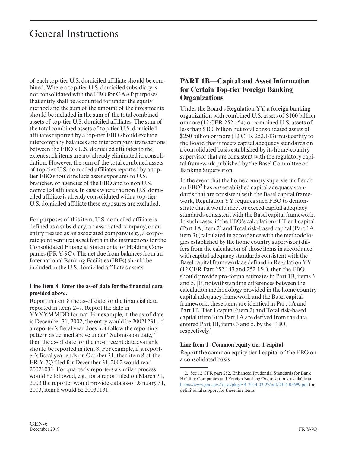of each top-tier U.S. domiciled affiliate should be combined. Where a top-tier U.S. domiciled subsidiary is not consolidated with the FBO for GAAP purposes, that entity shall be accounted for under the equity method and the sum of the amount of the investments should be included in the sum of the total combined assets of top-tier U.S. domiciled affiliates. The sum of the total combined assets of top-tier U.S. domiciled affiliates reported by a top-tier FBO should exclude intercompany balances and intercompany transactions between the FBO's U.S. domiciled affiliates to the extent such items are not already eliminated in consolidation. However, the sum of the total combined assets of top-tier U.S. domiciled affiliates reported by a toptier FBO should include asset exposures to U.S. branches, or agencies of the FBO and to non U.S. domiciled affiliates. In cases where the non U.S. domiciled affiliate is already consolidated with a top-tier U.S. domiciled affiliate these exposures are excluded.

For purposes of this item, U.S. domiciled affiliate is defined as a subsidiary, an associated company, or an entity treated as an associated company (e.g., a corporate joint venture) as set forth in the instructions for the Consolidated Financial Statements for Holding Companies (FR Y-9C). The net due from balances from an International Banking Facilities (IBFs) should be included in the U.S. domiciled affiliate's assets.

#### **Line Item 8 Enter the as-of date for the financial data provided above.**

Report in item 8 the as-of date for the financial data reported in items 2–7. Report the date in YYYYMMDD format. For example, if the as-of date is December 31, 2002, the entry would be 20021231. If a reporter's fiscal year does not follow the reporting pattern as defined above under "Submission date," then the as-of date for the most recent data available should be reported in item 8. For example, if a reporter's fiscal year ends on October 31, then item 8 of the FR Y-7Q filed for December 31, 2002 would read 20021031. For quarterly reporters a similar process would be followed, e.g., for a report filed on March 31, 2003 the reporter would provide data as-of January 31, 2003, item 8 would be 20030131.

### **PART 1B—Capital and Asset Information for Certain Top-tier Foreign Banking Organizations**

Under the Board's Regulation YY, a foreign banking organization with combined U.S. assets of \$100 billion or more (12 CFR 252.154) or combined U.S. assets of less than \$100 billion but total consolidated assets of \$250 billion or more (12 CFR 252.143) must certify to the Board that it meets capital adequacy standards on a consolidated basis established by its home-country supervisor that are consistent with the regulatory capital framework published by the Basel Committee on Banking Supervision.

In the event that the home country supervisor of such an FBO<sup>2</sup> has *not* established capital adequacy standards that are consistent with the Basel capital framework, Regulation YY requires such FBO to demonstrate that it would meet or exceed capital adequacy standards consistent with the Basel capital framework. In such cases, if the FBO's calculation of Tier 1 capital (Part 1A, item 2) and Total risk-based capital (Part 1A, item 3) (calculated in accordance with the methodologies established by the home country supervisor) differs from the calculation of those items in accordance with capital adequacy standards consistent with the Basel capital framework as defined in Regulation YY (12 CFR Part 252.143 and 252.154), then the FBO should provide pro-forma estimates in Part 1B, items 3 and 5. [If, notwithstanding differences between the calculation methodology provided in the home country capital adequacy framework and the Basel capital framework, these items are identical in Part 1A and Part 1B, Tier 1 capital (item 2) and Total risk-based capital (item 3) in Part 1A are derived from the data entered Part 1B, items 3 and 5, by the FBO, respectively.]

#### **Line Item 1 Common equity tier 1 capital.**

Report the common equity tier 1 capital of the FBO on a consolidated basis.

<sup>2.</sup> See 12 CFR part 252, Enhanced Prudential Standards for Bank Holding Companies and Foreign Banking Organizations, available at <https://www.gpo.gov/fdsys/pkg/FR-2014-03-27/pdf/2014-05699.pdf>for definitional support for these line items.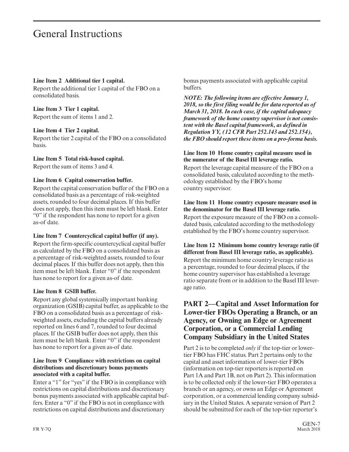#### **Line Item 2 Additional tier 1 capital.**

Report the additional tier 1 capital of the FBO on a consolidated basis.

#### **Line Item 3 Tier 1 capital.**

Report the sum of items 1 and 2.

#### **Line Item 4 Tier 2 capital.**

Report the tier 2 capital of the FBO on a consolidated basis.

#### **Line Item 5 Total risk-based capital.**

Report the sum of items 3 and 4.

#### **Line Item 6 Capital conservation buffer.**

Report the capital conservation buffer of the FBO on a consolidated basis as a percentage of risk-weighted assets, rounded to four decimal places. If this buffer does not apply, then this item must be left blank. Enter "0" if the respondent has none to report for a given as-of date.

#### **Line Item 7 Countercyclical capital buffer (if any).**

Report the firm-specific countercyclical capital buffer as calculated by the FBO on a consolidated basis as a percentage of risk-weighted assets, rounded to four decimal places. If this buffer does not apply, then this item must be left blank. Enter "0" if the respondent has none to report for a given as-of date.

#### **Line Item 8 GSIB buffer.**

Report any global systemically important banking organization (GSIB) capital buffer, as applicable to the FBO on a consolidated basis as a percentage of riskweighted assets, excluding the capital buffers already reported on lines 6 and 7, rounded to four decimal places. If the GSIB buffer does not apply, then this item must be left blank. Enter "0" if the respondent has none to report for a given as-of date.

#### **Line Item 9 Compliance with restrictions on capital distributions and discretionary bonus payments associated with a capital buffer.**

Enter a "1" for "yes" if the FBO is in compliance with restrictions on capital distributions and discretionary bonus payments associated with applicable capital buffers. Enter a "0" if the FBO is not in compliance with restrictions on capital distributions and discretionary

bonus payments associated with applicable capital buffers.

*NOTE: The following items are effective January 1, 2018, so the first filing would be for data reported as of March 31, 2018. In each case, if the capital adequacy framework of the home country supervisor is not consistent with the Basel capital framework, as defined in Regulation YY, (12 CFR Part 252.143 and 252.154), the FBO should report these items on a pro-forma basis.*

#### **Line Item 10 Home country capital measure used in the numerator of the Basel III leverage ratio.**

Report the leverage capital measure of the FBO on a consolidated basis, calculated according to the methodology established by the FBO's home country supervisor.

#### **Line Item 11 Home country exposure measure used in the denominator for the Basel III leverage ratio.**

Report the exposure measure of the FBO on a consolidated basis, calculated according to the methodology established by the FBO's home country supervisor.

#### **Line Item 12 Minimum home country leverage ratio (if different from Basel III leverage ratio, as applicable).**

Report the minimum home country leverage ratio as a percentage, rounded to four decimal places, if the home country supervisor has established a leverage ratio separate from or in addition to the Basel III lever age ratio.

### **PART 2—Capital and Asset Information for Lower-tier FBOs Operating a Branch, or an Agency, or Owning an Edge or Agreement Corporation, or a Commercial Lending Company Subsidiary in the United States**

Part 2 is to be completed *only* if the top-tier or lowertier FBO has FHC status. Part 2 pertains only to the capital and asset information of lower-tier FBOs (information on top-tier reporters is reported on Part 1A and Part 1B, not on Part 2). This information is to be collected only if the lower-tier FBO operates a branch or an agency, or owns an Edge or Agreement corporation, or a commercial lending company subsidiary in the United States. A separate version of Part 2 should be submitted for each of the top-tier reporter's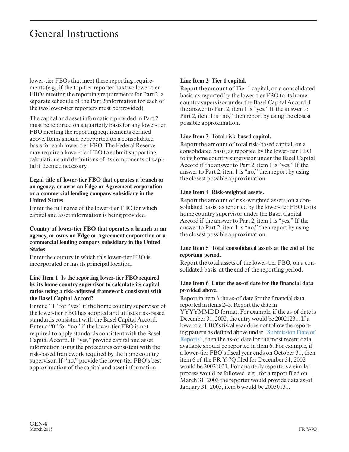lower-tier FBOs that meet these reporting requirements (e.g., if the top-tier reporter has two lower-tier FBOs meeting the reporting requirements for Part 2, a separate schedule of the Part 2 information for each of the two lower-tier reporters must be provided).

The capital and asset information provided in Part 2 must be reported on a quarterly basis for any lower-tier FBO meeting the reporting requirements defined above. Items should be reported on a consolidated basis for each lower-tier FBO. The Federal Reserve may require a lower-tier FBO to submit supporting calculations and definitions of its components of capital if deemed necessary.

#### **Legal title of lower-tier FBO that operates a branch or an agency, or owns an Edge or Agreement corporation or a commercial lending company subsidiary in the United States**

Enter the full name of the lower-tier FBO for which capital and asset information is being provided.

#### **Country of lower-tier FBO that operates a branch or an agency, or owns an Edge or Agreement corporation or a commercial lending company subsidiary in the United States**

Enter the country in which this lower-tier FBO is incorporated or has its principal location.

#### **Line Item 1 Is the reporting lower-tier FBO required by its home country supervisor to calculate its capital ratios using a risk-adjusted framework consistent with the Basel Capital Accord?**

Enter a "1" for "yes" if the home country supervisor of the lower-tier FBO has adopted and utilizes risk-based standards consistent with the Basel Capital Accord. Enter a "0" for "no" if the lower-tier FBO is not required to apply standards consistent with the Basel Capital Accord. If "yes," provide capital and asset information using the procedures consistent with the risk-based framework required by the home country supervisor. If "no," provide the lower-tier FBO's best approximation of the capital and asset information.

#### **Line Item 2 Tier 1 capital.**

Report the amount of Tier 1 capital, on a consolidated basis, as reported by the lower-tier FBO to its home country supervisor under the Basel Capital Accord if the answer to Part 2, item 1 is "yes." If the answer to Part 2, item 1 is "no," then report by using the closest possible approximation.

#### **Line Item 3 Total risk-based capital.**

Report the amount of total risk-based capital, on a consolidated basis, as reported by the lower-tier FBO to its home country supervisor under the Basel Capital Accord if the answer to Part 2, item 1 is "yes." If the answer to Part 2, item 1 is "no," then report by using the closest possible approximation.

#### **Line Item 4 Risk-weighted assets.**

Report the amount of risk-weighted assets, on a consolidated basis, as reported by the lower-tier FBO to its home country supervisor under the Basel Capital Accord if the answer to Part 2, item 1 is "yes." If the answer to Part 2, item 1 is "no," then report by using the closest possible approximation.

#### **Line Item 5 Total consolidated assets at the end of the reporting period.**

Report the total assets of the lower-tier FBO, on a consolidated basis, at the end of the reporting period.

#### **Line Item 6 Enter the as-of date for the financial data provided above.**

Report in item 6 the as-of date for the financial data reported in items 2–5. Report the date in YYYYMMDD format. For example, if the as-of date is December 31, 2002, the entry would be 20021231. If a lower-tier FBO's fiscal year does not follow the reporting pattern as defined above under ["Submission Date of](#page-3-0) [Reports",](#page-3-0) then the as-of date for the most recent data available should be reported in item 6. For example, if a lower-tier FBO's fiscal year ends on October 31, then item 6 of the FR Y-7Q filed for December 31, 2002 would be 20021031. For quarterly reporters a similar process would be followed, e.g., for a report filed on March 31, 2003 the reporter would provide data as-of January 31, 2003, item 6 would be 20030131.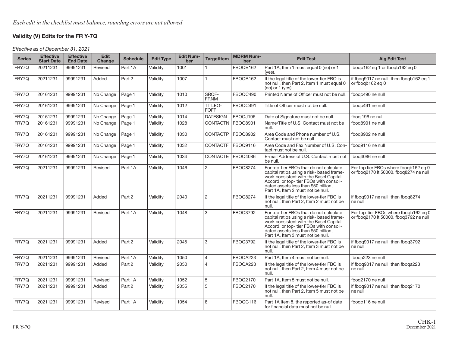#### **Validity (V) Edits for the FR Y-7Q**

Effective as of December 31, 2021

| <b>Series</b> | <b>Effective</b><br><b>Start Date</b> | <b>Effective</b><br><b>End Date</b> | <b>Edit</b><br>Change | <b>Schedule</b> | <b>Edit Type</b> | <b>Edit Num-</b><br>ber | <b>TargetItem</b>      | <b>MDRM Num-</b><br>ber | <b>Edit Test</b>                                                                                                                                                                                                                                      | Alg Edit Test                                                                   |
|---------------|---------------------------------------|-------------------------------------|-----------------------|-----------------|------------------|-------------------------|------------------------|-------------------------|-------------------------------------------------------------------------------------------------------------------------------------------------------------------------------------------------------------------------------------------------------|---------------------------------------------------------------------------------|
| FRY7Q         | 20211231                              | 99991231                            | Revised               | Part 1A         | Validity         | 1001                    |                        | FBOQB162                | Part 1A, Item 1 must equal 0 (no) or 1<br>$(ves).$                                                                                                                                                                                                    | fbogb162 eg 1 or fbogb162 eg 0                                                  |
| FRY7Q         | 20211231                              | 99991231                            | Added                 | Part 2          | Validity         | 1007                    | 1.                     | FBOQB162                | If the legal title of the lower-tier FBO is<br>not null, then Part 2, Item 1 must equal 0<br>$(no)$ or 1 (yes)                                                                                                                                        | if fbog9017 ne null, then fbogb162 eg 1<br>or fbogb162 eg 0                     |
| FRY7Q         | 20161231                              | 99991231                            | No Change             | Page 1          | Validity         | 1010                    | SROF-<br><b>FRNM</b>   | FBOQC490                | Printed Name of Officer must not be null.                                                                                                                                                                                                             | fbogc490 ne null                                                                |
| FRY7Q         | 20161231                              | 99991231                            | No Change             | Page 1          | Validity         | 1012                    | TITLEO-<br><b>FOFF</b> | FBOQC491                | Title of Officer must not be null.                                                                                                                                                                                                                    | fbogc491 ne null                                                                |
| FRY7Q         | 20161231                              | 99991231                            | No Change             | Page 1          | Validity         | 1014                    | <b>DATESIGN</b>        | FBOQJ196                | Date of Signature must not be null.                                                                                                                                                                                                                   | fbogi196 ne null                                                                |
| FRY7Q         | 20161231                              | 99991231                            | No Change             | Page 1          | Validity         | 1028                    | CONTACTN   FBOQ8901    |                         | Name/Title of U.S. Contact must not be<br>null.                                                                                                                                                                                                       | fbog8901 ne null                                                                |
| FRY7Q         | 20161231                              | 99991231                            | No Change             | Page 1          | Validity         | 1030                    | CONTACTP               | <b>FBOQ8902</b>         | Area Code and Phone number of U.S.<br>Contact must not be null.                                                                                                                                                                                       | fbog8902 ne null                                                                |
| FRY7Q         | 20161231                              | 99991231                            | No Change             | Page 1          | Validity         | 1032                    | <b>CONTACTF</b>        | <b>FBOQ9116</b>         | Area Code and Fax Number of U.S. Con-<br>tact must not be null.                                                                                                                                                                                       | fbog9116 ne null                                                                |
| FRY7Q         | 20161231                              | 99991231                            | No Change             | Page 1          | Validity         | 1034                    | CONTACTE   FBOQ4086    |                         | E-mail Address of U.S. Contact must not<br>be null.                                                                                                                                                                                                   | fboq4086 ne null                                                                |
| FRY7Q         | 20211231                              | 99991231                            | Revised               | Part 1A         | Validity         | 1046                    | $\overline{2}$         | <b>FBOQ8274</b>         | For top-tier FBOs that do not calculate<br>capital ratios using a risk- based frame-<br>work consistent with the Basel Capital<br>Accord, or top-tier FBOs with consoli-<br>dated assets less than \$50 billion,<br>Part 1A. Item 2 must not be null. | For top tier FBOs where fboqb162 eq 0<br>or fbog2170 It 50000, fbog8274 ne null |
| FRY7Q         | 20211231                              | 99991231                            | Added                 | Part 2          | Validity         | 2040                    | $\overline{2}$         | <b>FBOQ8274</b>         | If the legal title of the lower-tier FBO is<br>not null, then Part 2, Item 2 must not be<br>null.                                                                                                                                                     | if fbog9017 ne null, then fbog8274<br>ne null                                   |
| FRY7Q         | 20211231                              | 99991231                            | Revised               | Part 1A         | Validity         | 1048                    | 3                      | FBOQ3792                | For top-tier FBOs that do not calculate<br>capital ratios using a risk- based frame-<br>work consistent with the Basel Capital<br>Accord, or top-tier FBOs with consoli-<br>dated assets less than \$50 billion.<br>Part 1A. Item 3 must not be null. | For top-tier FBOs where fbogb162 eg 0<br>or fbog2170 It 50000, fbog3792 ne null |
| FRY7Q         | 20211231                              | 99991231                            | Added                 | Part 2          | Validity         | 2045                    | 3                      | FBOQ3792                | If the legal title of the lower-tier FBO is<br>not null, then Part 2, Item 3 must not be<br>null.                                                                                                                                                     | if fbog9017 ne null, then fbog3792<br>ne null                                   |
| FRY7Q         | 20211231                              | 99991231                            | Revised               | Part 1A         | Validity         | 1050                    | 4                      | FBOQA223                | Part 1A. Item 4 must not be null.                                                                                                                                                                                                                     | fboga223 ne null                                                                |
| FRY7Q         | 20211231                              | 99991231                            | Added                 | Part 2          | Validity         | 2050                    | $\overline{4}$         | FBOQA223                | If the legal title of the lower-tier FBO is<br>not null, then Part 2, Item 4 must not be<br>null.                                                                                                                                                     | if fbog9017 ne null, then fboga223<br>ne null                                   |
| FRY7Q         | 20211231                              | 99991231                            | Revised               | Part 1A         | Validity         | 1052                    | 5                      | FBOQ2170                | Part 1A, Item 5 must not be null.                                                                                                                                                                                                                     | fbog2170 ne null                                                                |
| FRY7Q         | 20211231                              | 99991231                            | Added                 | Part 2          | Validity         | 2055                    | 5                      | FBOQ2170                | If the legal title of the lower-tier FBO is<br>not null, then Part 2, Item 5 must not be<br>null.                                                                                                                                                     | if fbog9017 ne null, then fbog2170<br>ne null                                   |
| FRY7Q         | 20211231                              | 99991231                            | Revised               | Part 1A         | Validity         | 1054                    | 8                      | FBOQC116                | Part 1A Item 8, the reported as-of date<br>for financial data must not be null.                                                                                                                                                                       | fbogc116 ne null                                                                |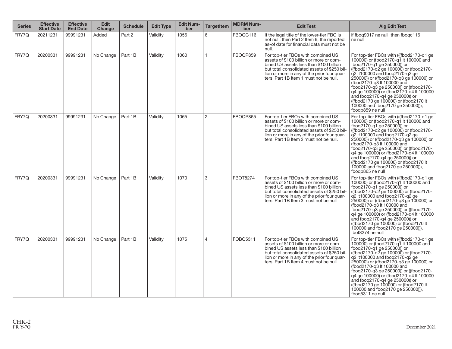| <b>Series</b> | <b>Effective</b><br><b>Start Date</b> | <b>Effective</b><br><b>End Date</b> | <b>Edit</b><br>Change | <b>Schedule</b> | <b>Edit Type</b> | <b>Edit Num-</b><br>ber | <b>TargetItem</b> | <b>MDRM Num-</b><br>ber | <b>Edit Test</b>                                                                                                                                                                                                                                                 | <b>Alg Edit Test</b>                                                                                                                                                                                                                                                                                                                                                                                                                                                                          |
|---------------|---------------------------------------|-------------------------------------|-----------------------|-----------------|------------------|-------------------------|-------------------|-------------------------|------------------------------------------------------------------------------------------------------------------------------------------------------------------------------------------------------------------------------------------------------------------|-----------------------------------------------------------------------------------------------------------------------------------------------------------------------------------------------------------------------------------------------------------------------------------------------------------------------------------------------------------------------------------------------------------------------------------------------------------------------------------------------|
| FRY7Q         | 20211231                              | 99991231                            | Added                 | Part 2          | Validity         | 1056                    | 6                 | FBOQC116                | If the legal title of the lower-tier FBO is<br>not null, then Part 2 Item 6, the reported<br>as-of date for financial data must not be<br>null.                                                                                                                  | if fbog9017 ne null, then fbogc116<br>ne null                                                                                                                                                                                                                                                                                                                                                                                                                                                 |
| FRY7Q         | 20200331                              | 99991231                            | No Change             | Part 1B         | Validity         | 1060                    | $\overline{1}$    | FBOQP859                | For top-tier FBOs with combined US<br>assets of \$100 billion or more or com-<br>bined US assets less than \$100 billion<br>but total consolidated assets of \$250 bil-<br>lion or more in any of the prior four quar-<br>ters. Part 1B Item 1 must not be null. | For top-tier FBOs with (((fbod2170-q1 ge)<br>100000) or (fbod2170-g1 It 100000 and<br>fbog2170-g1 ge 250000)) or<br>((fbod2170-q2 ge 100000) or (fbod2170-<br>q2 lt100000 and fbog2170-g2 ge<br>250000) or ((fbod2170-a3 ae 100000) or<br>(fbod2170-g3 lt 100000 and<br>fboq2170-q3 ge 250000) or ((fbod2170-<br>q4 ge 100000) or (fbod2170-q4 lt 100000<br>and fbog2170-g4 ge 250000) or<br>((fbod2170 ge 100000) or (fbod2170 lt)<br>100000 and fboq2170 ge 250000)),<br>fboqp859 ne null   |
| FRY7Q         | 20200331                              | 99991231                            | No Change             | Part 1B         | Validity         | 1065                    | 2                 | FBOQP865                | For top-tier FBOs with combined US<br>assets of \$100 billion or more or com-<br>bined US assets less than \$100 billion<br>but total consolidated assets of \$250 bil-<br>lion or more in any of the prior four quar-<br>ters, Part 1B Item 2 must not be null. | For top-tier FBOs with (((fbod2170-g1 ge)<br>100000) or (fbod2170-g1 It 100000 and<br>fbog2170-g1 ge 250000) or<br>((fbod2170-g2 ge 100000) or (fbod2170-<br>q2 lt100000 and fboq2170-q2 ge<br>250000)) or ((fbod2170-q3 ge 100000) or<br>(fbod2170-g3 lt 100000 and<br>fboq2170-q3 ge 250000)) or ((fbod2170-<br>q4 ge 100000) or (fbod2170-q4 lt 100000<br>and fbog2170-g4 ge 250000) or<br>((fbod2170 ge 100000) or (fbod2170 lt)<br>100000 and fbog2170 ge 250000)).<br>fboap865 ne null  |
| FRY7Q         | 20200331                              | 99991231                            | No Change             | Part 1B         | Validity         | 1070                    | 3                 | <b>FBOT8274</b>         | For top-tier FBOs with combined US<br>assets of \$100 billion or more or com-<br>bined US assets less than \$100 billion<br>but total consolidated assets of \$250 bil-<br>lion or more in any of the prior four quar-<br>ters, Part 1B Item 3 must not be null  | For top-tier FBOs with (((fbod2170-g1 ge)<br>100000) or (fbod2170-g1 lt 100000 and<br>fbog2170-g1 ge 250000)) or<br>((fbod2170-q2 ge 100000) or (fbod2170-<br>q2 lt100000 and fbog2170-g2 ge<br>250000) or ((fbod2170-g3 ge 100000) or<br>(fbod2170-q3 lt 100000 and<br>fbog2170-g3 ge 250000)) or ((fbod2170-<br>q4 ge 100000) or (fbod2170-q4 lt 100000<br>and fbog2170-g4 ge 250000)) or<br>((fbod2170 ge 100000) or (fbod2170 lt)<br>100000 and fbog2170 ge 250000)).<br>fbot8274 ne null |
| FRY7Q         | 20200331                              | 99991231                            | No Change             | Part 1B         | Validity         | 1075                    | $\overline{4}$    | FOBQ5311                | For top-tier FBOs with combined US<br>assets of \$100 billion or more or com-<br>bined US assets less than \$100 billion<br>but total consolidated assets of \$250 bil-<br>lion or more in any of the prior four quar-<br>ters, Part 1B Item 4 must not be null. | For top-tier FBOs with (((fbod2170-g1 ge)<br>100000) or (fbod2170-g1 lt 100000 and<br>fboq2170-q1 ge 250000)) or<br>((fbod2170-q2 ge 100000) or (fbod2170-<br>q2 lt100000 and fbog2170-g2 ge<br>250000) or ((fbod2170-q3 ge 100000) or<br>(fbod2170-g3 lt 100000 and<br>fbog2170-g3 ge 250000)) or ((fbod2170-<br>q4 ge 100000) or (fbod2170-q4 lt 100000<br>and fbog2170-g4 ge 250000) or<br>((fbod2170 ge 100000) or (fbod2170 lt)<br>100000 and fboq2170 ge 250000)),<br>fboq5311 ne null  |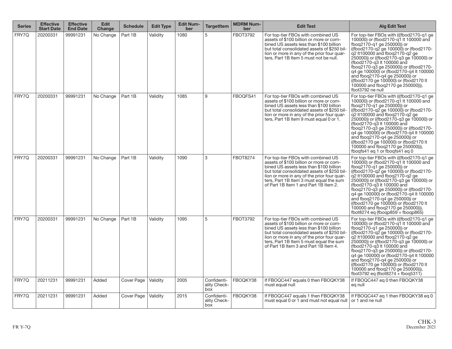| <b>Series</b> | <b>Effective</b><br><b>Start Date</b> | <b>Effective</b><br><b>End Date</b> | <b>Edit</b><br><b>Change</b> | <b>Schedule</b> | <b>Edit Type</b> | <b>Edit Num-</b><br>ber | <b>TargetItem</b>                  | <b>MDRM Num-</b><br>ber | <b>Edit Test</b>                                                                                                                                                                                                                                                                                           | <b>Alg Edit Test</b>                                                                                                                                                                                                                                                                                                                                                                                                                                                                                           |
|---------------|---------------------------------------|-------------------------------------|------------------------------|-----------------|------------------|-------------------------|------------------------------------|-------------------------|------------------------------------------------------------------------------------------------------------------------------------------------------------------------------------------------------------------------------------------------------------------------------------------------------------|----------------------------------------------------------------------------------------------------------------------------------------------------------------------------------------------------------------------------------------------------------------------------------------------------------------------------------------------------------------------------------------------------------------------------------------------------------------------------------------------------------------|
| FRY7Q         | 20200331                              | 99991231                            | No Change                    | Part 1B         | Validity         | 1080                    | 5                                  | <b>FBOT3792</b>         | For top-tier FBOs with combined US<br>assets of \$100 billion or more or com-<br>bined US assets less than \$100 billion<br>but total consolidated assets of \$250 bil-<br>lion or more in any of the prior four quar-<br>ters, Part 1B Item 5 must not be null.                                           | For top-tier FBOs with (((fbod2170-g1 ge)<br>100000) or (fbod2170-g1 lt 100000 and<br>fboq2170-q1 ge 250000) or<br>((fbod2170-q2 ge 100000) or (fbod2170-<br>q2 lt100000 and fbog2170-g2 ge<br>250000) or ((fbod2170-q3 ge 100000) or<br>(fbod2170-g3 lt 100000 and<br>fbog2170-g3 ge 250000)) or ((fbod2170-<br>q4 ge 100000) or (fbod2170-q4 lt 100000<br>and fboq2170-q4 ge 250000)) or<br>((fbod2170 ge 100000) or (fbod2170 lt)<br>100000 and fboq2170 ge 250000)),<br>fbot3792 ne null                   |
| FRY7Q         | 20200331                              | 99991231                            | No Change                    | Part 1B         | Validity         | 1085                    | 9                                  | FBOQFS41                | For top-tier FBOs with combined US<br>assets of \$100 billion or more or com-<br>bined US assets less than \$100 billion<br>but total consolidated assets of \$250 bil-<br>lion or more in any of the prior four quar-<br>ters, Part 1B Item 9 must equal 0 or 1.                                          | For top-tier FBOs with (((fbod2170-q1 ge)<br>100000) or (fbod2170-g1 It 100000 and<br>fbog2170-g1 ge 250000) or<br>((fbod2170-q2 ge 100000) or (fbod2170-<br>g2 lt100000 and fbog2170-g2 ge<br>250000) or ((fbod2170-g3 ge 100000) or<br>(fbod2170-g3 lt 100000 and<br>fboq2170-q3 ge 250000)) or ((fbod2170-<br>q4 ge 100000) or (fbod2170-q4 lt 100000<br>and fboq2170-q4 ge 250000)) or<br>((fbod2170 ge 100000) or (fbod2170 lt)<br>100000 and fbog2170 ge 250000)),<br>fbogfs41 eg 1 or fbogfs41 eg 0     |
| FRY7Q         | 20200331                              | 99991231                            | No Change                    | Part 1B         | Validity         | 1090                    | 3                                  | <b>FBOT8274</b>         | For top-tier FBOs with combined US<br>assets of \$100 billion or more or com-<br>bined US assets less than \$100 billion<br>but total consolidated assets of \$250 bil-<br>lion or more in any of the prior four quar-<br>ters, Part 1B Item 3 must equal the sum<br>of Part 1B Item 1 and Part 1B Item 2. | For top-tier FBOs with (((fbod2170-g1 ge)<br>100000) or (fbod2170-g1 lt 100000 and<br>fbog2170-g1 ge 250000)) or<br>((fbod2170-q2 ge 100000) or (fbod2170-<br>g2 lt100000 and fbog2170-g2 ge<br>250000) or ((fbod2170-g3 ge 100000) or<br>(fbod2170-g3 lt 100000 and<br>fbog2170-g3 ge 250000)) or ((fbod2170-<br>q4 ge 100000) or (fbod2170-g4 lt 100000<br>and fboq2170-q4 ge 250000)) or<br>((fbod2170 ge 100000) or (fbod2170 lt)<br>100000 and fbog2170 ge 250000)).<br>fbot8274 eq (fboqp859 + fboqp865) |
| FRY7Q         | 20200331                              | 99991231                            | No Change                    | Part 1B         | Validity         | 1095                    | 5                                  | <b>FBOT3792</b>         | For top-tier FBOs with combined US<br>assets of \$100 billion or more or com-<br>bined US assets less than \$100 billion<br>but total consolidated assets of \$250 bil-<br>lion or more in any of the prior four quar-<br>ters, Part 1B Item 5 must equal the sum<br>of Part 1B Item 3 and Part 1B Item 4. | For top-tier FBOs with (((fbod2170-q1 ge)<br>100000) or (fbod2170-q1 It 100000 and<br>fbog2170-g1 ge 250000)) or<br>((fbod2170-q2 ge 100000) or (fbod2170-<br>q2 lt100000 and fboq2170-q2 ge<br>250000)) or ((fbod2170-g3 ge 100000) or<br>(fbod2170-q3 lt 100000 and<br>fboq2170-q3 ge 250000)) or ((fbod2170-<br>q4 ge 100000) or (fbod2170-q4 lt 100000<br>and fboq2170-q4 ge 250000)) or<br>((fbod2170 ge 100000) or (fbod2170 lt<br>100000 and fbog2170 ge 250000)).<br>fbot3792 eq (fbot8274 + fboq5311) |
| FRY7Q         | 20211231                              | 99991231                            | Added                        | Cover Page      | Validity         | 2005                    | Confidenti-<br>ality Check-<br>box | FBOQKY38                | If FBOQC447 equals 0 then FBOQKY38<br>must equal null                                                                                                                                                                                                                                                      | If FBOQC447 eq 0 then FBOQKY38<br>eg null                                                                                                                                                                                                                                                                                                                                                                                                                                                                      |
| FRY7Q         | 20211231                              | 99991231                            | Added                        | Cover Page      | Validity         | 2015                    | Confidenti-<br>ality Check-<br>box | FBOQKY38                | If FBOQC447 equals 1 then FBOQKY38<br>must equal 0 or 1 and must not equal null   or 1 and ne null                                                                                                                                                                                                         | If FBOQC447 eq 1 then FBOQKY38 eq 0                                                                                                                                                                                                                                                                                                                                                                                                                                                                            |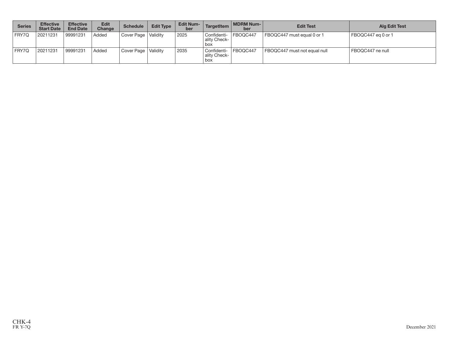| <b>Series</b> | <b>Effective</b><br><b>Start Date</b> | <b>Effective</b><br><b>End Date</b> | <b>Edit</b><br><b>Change</b> | <b>Schedule</b>       | <b>Edit Type</b> | <b>Edit Num-</b><br>ber | TargetItem                           | MDRM Num-<br>ber | <b>Edit Test</b>             | <b>Alg Edit Test</b> |
|---------------|---------------------------------------|-------------------------------------|------------------------------|-----------------------|------------------|-------------------------|--------------------------------------|------------------|------------------------------|----------------------|
| FRY7Q         | 20211231                              | 99991231                            | Added                        | Cover Page   Validity |                  | 2025                    | l Confidenti-<br>ality Check-<br>box | FBOQC447         | FBOQC447 must equal 0 or 1   | FBOQC447 eg 0 or 1   |
| FRY7Q         | 20211231                              | 99991231                            | Added                        | Cover Page   Validity |                  | 2035                    | l Confidenti-<br>ality Check-<br>box | FBOQC447         | FBOQC447 must not equal null | FBOQC447 ne null     |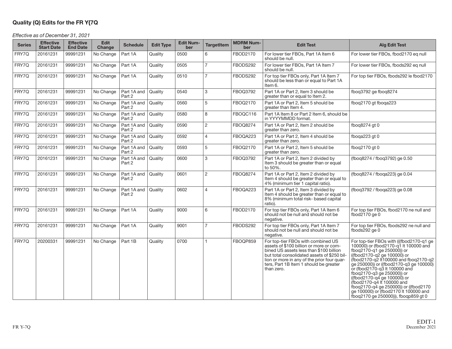#### **Quality (Q) Edits for the FR Y{7Q**

Effective as of December 31, 2021

| <b>Series</b> | <b>Effective</b><br><b>Start Date</b> | <b>Effective</b><br><b>End Date</b> | <b>Edit</b><br>Change | <b>Schedule</b>                 | <b>Edit Type</b> | <b>Edit Num-</b><br>ber | <b>TargetItem</b> | <b>MDRM Num-</b><br>ber | <b>Edit Test</b>                                                                                                                                                                                                                                                               | <b>Alg Edit Test</b>                                                                                                                                                                                                                                                                                                                                                                                                                                                                   |
|---------------|---------------------------------------|-------------------------------------|-----------------------|---------------------------------|------------------|-------------------------|-------------------|-------------------------|--------------------------------------------------------------------------------------------------------------------------------------------------------------------------------------------------------------------------------------------------------------------------------|----------------------------------------------------------------------------------------------------------------------------------------------------------------------------------------------------------------------------------------------------------------------------------------------------------------------------------------------------------------------------------------------------------------------------------------------------------------------------------------|
| FRY7Q         | 20161231                              | 99991231                            | No Change             | Part 1A                         | Quality          | 0500                    | 6                 | FBOD2170                | For lower tier FBOs, Part 1A Item 6<br>should be null.                                                                                                                                                                                                                         | For lower tier FBOs, fbod2170 eg null                                                                                                                                                                                                                                                                                                                                                                                                                                                  |
| FRY7Q         | 20161231                              | 99991231                            | No Change             | Part 1A                         | Quality          | 0505                    | $\overline{7}$    | FBODS292                | For lower tier FBOs, Part 1A Item 7<br>should be null.                                                                                                                                                                                                                         | For lower tier FBOs, fbods292 eq null                                                                                                                                                                                                                                                                                                                                                                                                                                                  |
| FRY7Q         | 20161231                              | 99991231                            | No Change             | Part 1A                         | Quality          | 0510                    | $\overline{7}$    | FBODS292                | For top tier FBOs only, Part 1A Item 7<br>should be less than or equal to Part 1A<br>Item 6.                                                                                                                                                                                   | For top tier FBOs, fbods292 le fbod2170                                                                                                                                                                                                                                                                                                                                                                                                                                                |
| FRY7Q         | 20161231                              | 99991231                            | No Change             | Part 1A and Quality<br>Part 2   |                  | 0540                    | 3                 | FBOQ3792                | Part 1A or Part 2, Item 3 should be<br>greater than or equal to Item 2.                                                                                                                                                                                                        | fbog3792 ge fbog8274                                                                                                                                                                                                                                                                                                                                                                                                                                                                   |
| FRY7Q         | 20161231                              | 99991231                            | No Change             | Part 1A and   Quality<br>Part 2 |                  | 0560                    | 5                 | FBOQ2170                | Part 1A or Part 2, Item 5 should be<br>greater than Item 4.                                                                                                                                                                                                                    | fbog2170 gt fboga223                                                                                                                                                                                                                                                                                                                                                                                                                                                                   |
| FRY7Q         | 20161231                              | 99991231                            | No Change             | Part 1A and   Quality<br>Part 2 |                  | 0580                    | 8                 | FBOQC116                | Part 1A Item 8 or Part 2 Item 6, should be<br>in YYYYMMDD format.                                                                                                                                                                                                              |                                                                                                                                                                                                                                                                                                                                                                                                                                                                                        |
| FRY7Q         | 20161231                              | 99991231                            | No Change             | Part 1A and<br>Part 2           | Quality          | 0590                    | $\overline{c}$    | <b>FBOQ8274</b>         | Part 1A or Part 2, Item 2 should be<br>greater than zero.                                                                                                                                                                                                                      | fbog8274 gt 0                                                                                                                                                                                                                                                                                                                                                                                                                                                                          |
| FRY7Q         | 20161231                              | 99991231                            | No Change             | Part 1A and   Quality<br>Part 2 |                  | 0592                    | $\overline{4}$    | FBOQA223                | Part 1A or Part 2, Item 4 should be<br>greater than zero.                                                                                                                                                                                                                      | fboga223 gt 0                                                                                                                                                                                                                                                                                                                                                                                                                                                                          |
| FRY7Q         | 20161231                              | 99991231                            | No Change             | Part 1A and Quality<br>Part 2   |                  | 0593                    | 5                 | FBOQ2170                | Part 1A or Part 2, Item 5 should be<br>greater than zero.                                                                                                                                                                                                                      | fbog2170 gt 0                                                                                                                                                                                                                                                                                                                                                                                                                                                                          |
| FRY7Q         | 20161231                              | 99991231                            | No Change             | Part 1A and Quality<br>Part 2   |                  | 0600                    | 3                 | FBOQ3792                | Part 1A or Part 2, Item 2 divided by<br>Item 3 should be greater than or equal<br>to 50%.                                                                                                                                                                                      | (fboq8274 / fboq3792) ge 0.50                                                                                                                                                                                                                                                                                                                                                                                                                                                          |
| FRY7Q         | 20161231                              | 99991231                            | No Change             | Part 1A and<br>Part 2           | Quality          | 0601                    | 2                 | FBOQ8274                | Part 1A or Part 2, Item 2 divided by<br>Item 4 should be greater than or equal to<br>4% (minimum tier 1 capital ratio).                                                                                                                                                        | (fboq8274 / fboqa223) ge 0.04                                                                                                                                                                                                                                                                                                                                                                                                                                                          |
| FRY7Q         | 20161231                              | 99991231                            | No Change             | Part 1A and<br>Part 2           | Quality          | 0602                    | $\overline{A}$    | FBOQA223                | Part 1A or Part 2, Item 3 divided by<br>Item 4 should be greater than or equal to<br>8% (minimum total risk- based capital<br>ratio).                                                                                                                                          | (fbog3792 / fboga223) ge 0.08                                                                                                                                                                                                                                                                                                                                                                                                                                                          |
| FRY7Q         | 20161231                              | 99991231                            | No Change             | Part 1A                         | Quality          | 9000                    | 6                 | FBOD2170                | For top tier FBOs only, Part 1A Item 6<br>should not be null and should not be<br>negative.                                                                                                                                                                                    | For top tier FBOs, fbod2170 ne null and<br>fbod $2170$ ge $0$                                                                                                                                                                                                                                                                                                                                                                                                                          |
| FRY7Q         | 20161231                              | 99991231                            | No Change             | Part 1A                         | Quality          | 9001                    | $\overline{7}$    | FBODS292                | For top tier FBOs only. Part 1A Item 7<br>should not be null and should not be<br>negative.                                                                                                                                                                                    | For top tier FBOs, fbods292 ne null and<br>fbods $292$ ge $0$                                                                                                                                                                                                                                                                                                                                                                                                                          |
| FRY7Q         | 20200331                              | 99991231                            | No Change             | Part 1B                         | Quality          | 0700                    |                   | FBOQP859                | For top-tier FBOs with combined US<br>assets of \$100 billion or more or com-<br>bined US assets less than \$100 billion<br>but total consolidated assets of \$250 bil-<br>lion or more in any of the prior four quar-<br>ters, Part 1B Item 1 should be greater<br>than zero. | For top-tier FBOs with (((fbod2170-q1 ge<br>100000) or (fbod2170-g1 lt 100000 and<br>fboq2170-q1 ge 250000)) or<br>((fbod2170-q2 ge 100000) or<br>(fbod2170-g2 lt100000 and fbog2170-g2<br>ge 250000)) or ((fbod2170-q3 ge 100000)<br>or (fbod2170-q3 lt 100000 and<br>fboq2170-q3 ge 250000) or<br>((fbod2170-q4 ge 100000) or<br>(fbod2170-g4 It 100000 and<br>fboq2170-q4 ge 250000)) or ((fbod2170<br>ge 100000) or (fbod2170 It 100000 and<br>fboq2170 ge 250000)), fboqp859 gt 0 |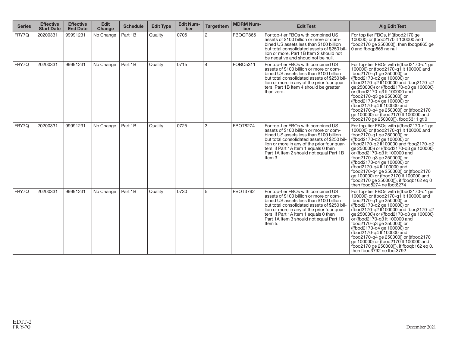| <b>Series</b> | <b>Effective</b><br><b>Start Date</b> | <b>Effective</b><br><b>End Date</b> | <b>Edit</b><br>Change | <b>Schedule</b> | <b>Edit Type</b> | <b>Edit Num-</b><br>ber | <b>TargetItem</b> | <b>MDRM Num-</b><br>ber | <b>Edit Test</b>                                                                                                                                                                                                                                                                                                      | <b>Alg Edit Test</b>                                                                                                                                                                                                                                                                                                                                                                                                                                                                                                   |
|---------------|---------------------------------------|-------------------------------------|-----------------------|-----------------|------------------|-------------------------|-------------------|-------------------------|-----------------------------------------------------------------------------------------------------------------------------------------------------------------------------------------------------------------------------------------------------------------------------------------------------------------------|------------------------------------------------------------------------------------------------------------------------------------------------------------------------------------------------------------------------------------------------------------------------------------------------------------------------------------------------------------------------------------------------------------------------------------------------------------------------------------------------------------------------|
| FRY7Q         | 20200331                              | 99991231                            | No Change             | Part 1B         | Quality          | 0705                    | 2                 | FBOQP865                | For top-tier FBOs with combined US<br>assets of \$100 billion or more or com-<br>bined US assets less than \$100 billion<br>but total consolidated assets of \$250 bil<br>lion or more, Part 1B Item 2 should not<br>be negative and shoud not be null.                                                               | For top tier FBOs, if ((fbod2170 ge)<br>100000) or (fbod2170 It 100000 and<br>fboq2170 ge 250000), then fboqp865 ge<br>0 and fboqp865 ne null                                                                                                                                                                                                                                                                                                                                                                          |
| FRY7Q         | 20200331                              | 99991231                            | No Change             | Part 1B         | Quality          | 0715                    | $\overline{4}$    | FOBQ5311                | For top-tier FBOs with combined US<br>assets of \$100 billion or more or com-<br>bined US assets less than \$100 billion<br>but total consolidated assets of \$250 bil-<br>lion or more in any of the prior four quar-<br>ters, Part 1B Item 4 should be greater<br>than zero.                                        | For top-tier FBOs with (((fbod2170-g1 ge)<br>100000) or (fbod2170-g1 It 100000 and<br>fboq2170-q1 ge 250000)) or<br>((fbod2170-q2 ge 100000) or<br>(fbod2170-g2 It100000 and fbog2170-g2<br>ge 250000)) or ((fbod2170-g3 ge 100000)<br>or (fbod2170-g3 lt 100000 and<br>fboq2170-q3 ge 250000)) or<br>((fbod2170-q4 ge 100000) or<br>(fbod2170-g4 It 100000 and<br>fbog2170-g4 ge 250000)) or ((fbod2170)<br>ge 100000) or (fbod2170 It 100000 and<br>fboq2170 ge 250000)), fboq5311 gt 0                              |
| FRY7Q         | 20200331                              | 99991231                            | No Change             | Part 1B         | Quality          | 0725                    | 3                 | <b>FBOT8274</b>         | For top-tier FBOs with combined US<br>assets of \$100 billion or more or com-<br>bined US assets less than \$100 billion<br>but total consolidated assets of \$250 bil-<br>lion or more in any of the prior four quar-<br>ters, if Part 1A Item 1 equals 0 then<br>Part 1A Item 2 should not equal Part 1B<br>Item 3. | For top-tier FBOs with (((fbod2170-g1 ge)<br>100000) or (fbod2170-g1 lt 100000 and<br>fboq2170-q1 ge 250000) or<br>((fbod2170-g2 ge 100000) or<br>(fbod2170-q2 It100000 and fboq2170-q2<br>ge 250000)) or ((fbod2170-g3 ge 100000)<br>or (fbod2170-q3 lt 100000 and<br>fboq2170-q3 ge 250000)) or<br>((fbod2170-q4 ge 100000) or<br>(fbod2170-g4 lt 100000 and<br>fboq2170-q4 ge 250000) or ((fbod2170<br>ge 100000) or (fbod2170 It 100000 and<br>fboq2170 ge 250000)), if fboqb162 eq 0<br>then fbog8274 ne fbot8274 |
| FRY7Q         | 20200331                              | 99991231                            | No Change             | Part 1B         | Quality          | 0730                    | 5                 | <b>FBOT3792</b>         | For top-tier FBOs with combined US<br>assets of \$100 billion or more or com-<br>bined US assets less than \$100 billion<br>but total consolidated assets of \$250 bil-<br>lion or more in any of the prior four quar-<br>ters, if Part 1A Item 1 equals 0 then<br>Part 1A Item 3 should not equal Part 1B<br>Item 5. | For top-tier FBOs with (((fbod2170-g1 ge)<br>100000) or (fbod2170-g1 lt 100000 and<br>fboq2170-q1 ge 250000) or<br>((fbod2170-g2 ge 100000) or<br>(fbod2170-g2 lt100000 and fbog2170-g2<br>ge 250000)) or ((fbod2170-q3 ge 100000)<br>or (fbod2170-q3 lt 100000 and<br>fbog2170-g3 ge 250000) or<br>((fbod2170-g4 ge 100000) or<br>(fbod2170-g4 It 100000 and<br>fboq2170-q4 ge 250000) or ((fbod2170<br>ge 100000) or (fbod2170 lt 100000 and<br>fboq2170 ge 250000)), if fboqb162 eq 0,<br>then fbog3792 ne fbot3792 |